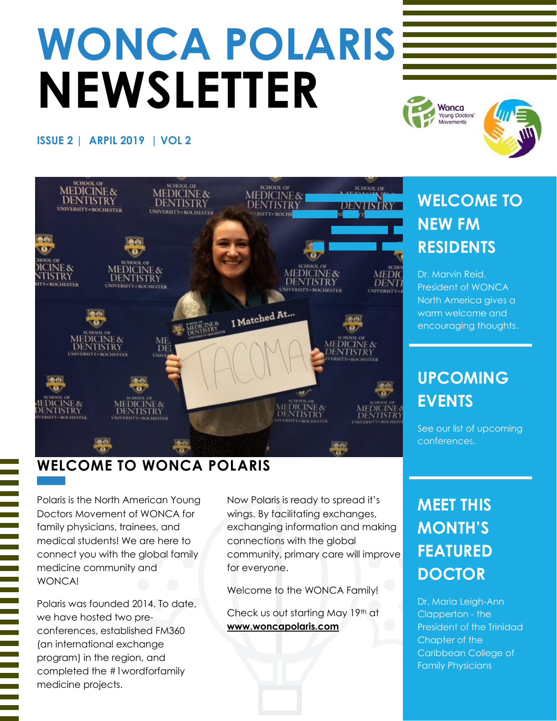# **WONCA POLARIS NEWSLETTER**

#### **ISSUE 2 | ARPIL 2019 | VOL 2**



#### **WELCOME TO WONCA POLARIS**

Polaris is the North American Young Doctors Movement of WONCA for family physicians, trainees, and medical students! We are here to connect you with the global family medicine community and WONCA!

Polaris was founded 2014. To date, we have hosted two preconferences, established FM360 (an international exchange program) in the region, and completed the #1wordforfamily medicine projects.

Now Polaris is ready to spread it's wings. By facilitating exchanges, exchanging information and making connections with the global community, primary care will improve for everyone.

Welcome to the WONCA Family!

Check us out starting May 19th at **www.woncapolaris.com**

# **WELCOME TO NEW FM RESIDENTS**

Wonca **Young Doctors** ovements

Dr. Marvin Reid, President of WONCA North America gives a warm welcome and encouraging thoughts.

# **UPCOMING EVENTS**

See our list of upcoming conferences.

# **MEET THIS MONTH'S FEATURED DOCTOR**

Dr. Maria Leigh-Ann Clapperton - the President of the Trinidad Chapter of the Caribbean College of Family Physicians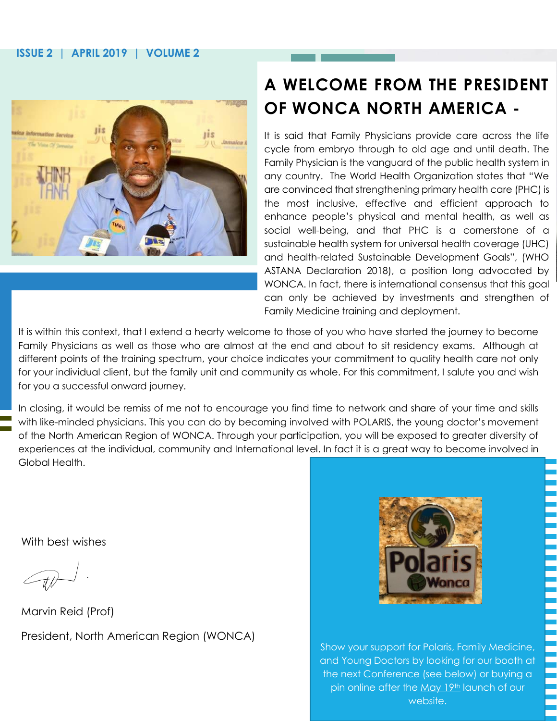#### **ISSUE 2 | APRIL 2019 | VOLUME 2**



## **A WELCOME FROM THE PRESIDENT OF WONCA NORTH AMERICA -**

It is said that Family Physicians provide care across the life cycle from embryo through to old age and until death. The Family Physician is the vanguard of the public health system in any country. The World Health Organization states that "We are convinced that strengthening primary health care (PHC) is the most inclusive, effective and efficient approach to enhance people's physical and mental health, as well as social well-being, and that PHC is a cornerstone of a sustainable health system for universal health coverage (UHC) and health-related Sustainable Development Goals", (WHO ASTANA Declaration 2018), a position long advocated by WONCA. In fact, there is international consensus that this goal can only be achieved by investments and strengthen of Family Medicine training and deployment.

It is within this context, that I extend a hearty welcome to those of you who have started the journey to become Family Physicians as well as those who are almost at the end and about to sit residency exams. Although at different points of the training spectrum, your choice indicates your commitment to quality health care not only for your individual client, but the family unit and community as whole. For this commitment, I salute you and wish for you a successful onward journey.

In closing, it would be remiss of me not to encourage you find time to network and share of your time and skills with like-minded physicians. This you can do by becoming involved with POLARIS, the young doctor's movement of the North American Region of WONCA. Through your participation, you will be exposed to greater diversity of experiences at the individual, community and International level. In fact it is a great way to become involved in Global Health.

With best wishes

Marvin Reid (Prof) President, North American Region (WONCA)



Show your support for Polaris, Family Medicine, and Young Doctors by looking for our booth at the next Conference (see below) or buying a pin online after the May 19th launch of our website.